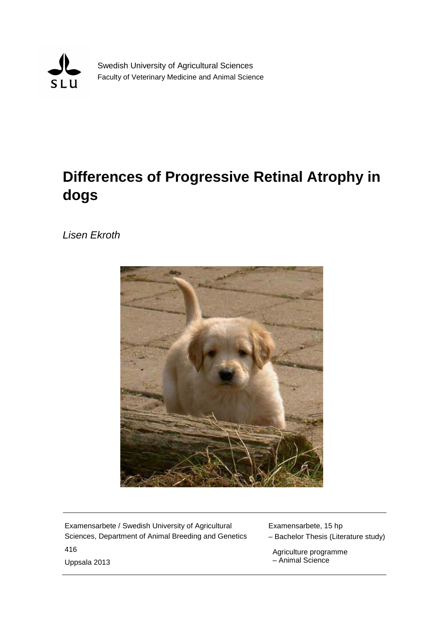

Swedish University of Agricultural Sciences Faculty of Veterinary Medicine and Animal Science

# **Differences of Progressive Retinal Atrophy in dogs**

*Lisen Ekroth*



Examensarbete / Swedish University of Agricultural Sciences, Department of Animal Breeding and Genetics 416

Examensarbete, 15 hp

– Bachelor Thesis (Literature study)

 Agriculture programme – Animal Science

Uppsala 2013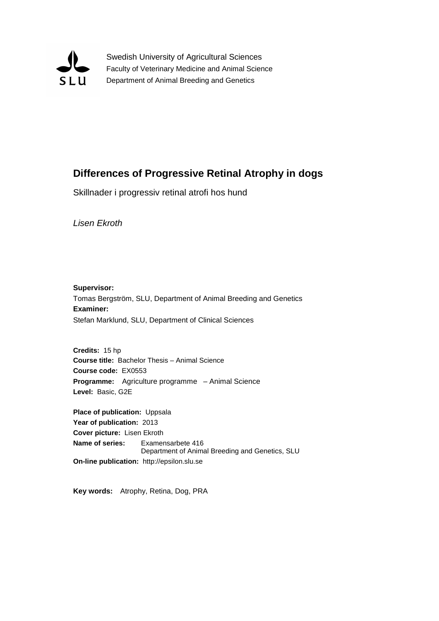

Swedish University of Agricultural Sciences Faculty of Veterinary Medicine and Animal Science Department of Animal Breeding and Genetics

### **Differences of Progressive Retinal Atrophy in dogs**

Skillnader i progressiv retinal atrofi hos hund

*Lisen Ekroth*

**Supervisor:** Tomas Bergström, SLU, Department of Animal Breeding and Genetics **Examiner:** Stefan Marklund, SLU, Department of Clinical Sciences

**Credits:** 15 hp **Course title:** Bachelor Thesis – Animal Science **Course code:** EX0553 **Programme:** Agriculture programme – Animal Science **Level:** Basic, G2E

**Place of publication:** Uppsala **Year of publication:** 2013 **Cover picture:** Lisen Ekroth **Name of series:** Examensarbete 416 Department of Animal Breeding and Genetics, SLU **On-line publication:** http://epsilon.slu.se

**Key words:** Atrophy, Retina, Dog, PRA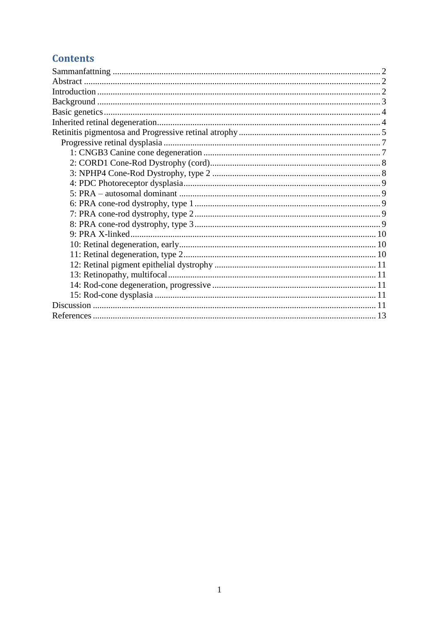### **Contents**

<span id="page-2-0"></span>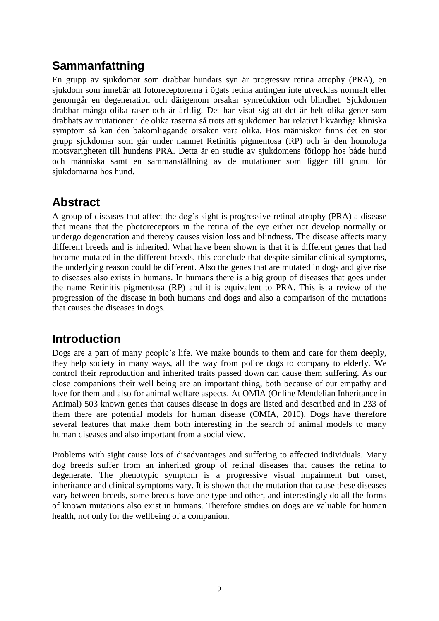# **Sammanfattning**

En grupp av sjukdomar som drabbar hundars syn är progressiv retina atrophy (PRA), en sjukdom som innebär att fotoreceptorerna i ögats retina antingen inte utvecklas normalt eller genomgår en degeneration och därigenom orsakar synreduktion och blindhet. Sjukdomen drabbar många olika raser och är ärftlig. Det har visat sig att det är helt olika gener som drabbats av mutationer i de olika raserna så trots att sjukdomen har relativt likvärdiga kliniska symptom så kan den bakomliggande orsaken vara olika. Hos människor finns det en stor grupp sjukdomar som går under namnet Retinitis pigmentosa (RP) och är den homologa motsvarigheten till hundens PRA. Detta är en studie av sjukdomens förlopp hos både hund och människa samt en sammanställning av de mutationer som ligger till grund för sjukdomarna hos hund.

# <span id="page-3-0"></span>**Abstract**

A group of diseases that affect the dog's sight is progressive retinal atrophy (PRA) a disease that means that the photoreceptors in the retina of the eye either not develop normally or undergo degeneration and thereby causes vision loss and blindness. The disease affects many different breeds and is inherited. What have been shown is that it is different genes that had become mutated in the different breeds, this conclude that despite similar clinical symptoms, the underlying reason could be different. Also the genes that are mutated in dogs and give rise to diseases also exists in humans. In humans there is a big group of diseases that goes under the name Retinitis pigmentosa (RP) and it is equivalent to PRA. This is a review of the progression of the disease in both humans and dogs and also a comparison of the mutations that causes the diseases in dogs.

# <span id="page-3-1"></span>**Introduction**

Dogs are a part of many people's life. We make bounds to them and care for them deeply, they help society in many ways, all the way from police dogs to company to elderly. We control their reproduction and inherited traits passed down can cause them suffering. As our close companions their well being are an important thing, both because of our empathy and love for them and also for animal welfare aspects. At OMIA (Online Mendelian Inheritance in Animal) 503 known genes that causes disease in dogs are listed and described and in 233 of them there are potential models for human disease (OMIA, 2010). Dogs have therefore several features that make them both interesting in the search of animal models to many human diseases and also important from a social view.

Problems with sight cause lots of disadvantages and suffering to affected individuals. Many dog breeds suffer from an inherited group of retinal diseases that causes the retina to degenerate. The phenotypic symptom is a progressive visual impairment but onset, inheritance and clinical symptoms vary. It is shown that the mutation that cause these diseases vary between breeds, some breeds have one type and other, and interestingly do all the forms of known mutations also exist in humans. Therefore studies on dogs are valuable for human health, not only for the wellbeing of a companion.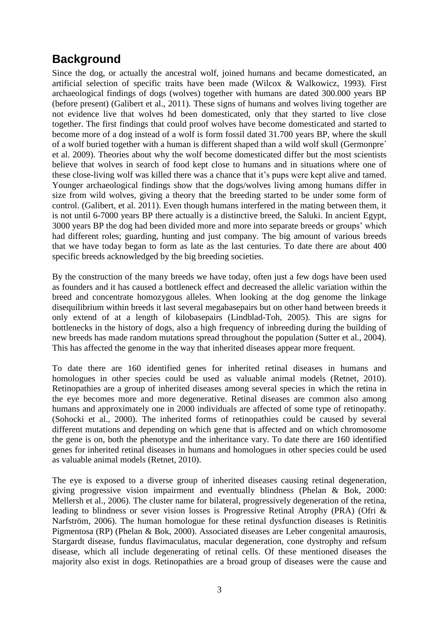# <span id="page-4-0"></span>**Background**

Since the dog, or actually the ancestral wolf, joined humans and became domesticated, an artificial selection of specific traits have been made (Wilcox & Walkowicz, 1993). First archaeological findings of dogs (wolves) together with humans are dated 300.000 years BP (before present) (Galibert et al., 2011). These signs of humans and wolves living together are not evidence live that wolves hd been domesticated, only that they started to live close together. The first findings that could proof wolves have become domesticated and started to become more of a dog instead of a wolf is form fossil dated 31.700 years BP, where the skull of a wolf buried together with a human is different shaped than a wild wolf skull (Germonpre´ et al. 2009). Theories about why the wolf become domesticated differ but the most scientists believe that wolves in search of food kept close to humans and in situations where one of these close-living wolf was killed there was a chance that it's pups were kept alive and tamed. Younger archaeological findings show that the dogs/wolves living among humans differ in size from wild wolves, giving a theory that the breeding started to be under some form of control. (Galibert, et al. 2011). Even though humans interfered in the mating between them, it is not until 6-7000 years BP there actually is a distinctive breed, the Saluki. In ancient Egypt, 3000 years BP the dog had been divided more and more into separate breeds or groups' which had different roles; guarding, hunting and just company. The big amount of various breeds that we have today began to form as late as the last centuries. To date there are about 400 specific breeds acknowledged by the big breeding societies.

By the construction of the many breeds we have today, often just a few dogs have been used as founders and it has caused a bottleneck effect and decreased the allelic variation within the breed and concentrate homozygous alleles. When looking at the dog genome the linkage disequilibrium within breeds it last several megabasepairs but on other hand between breeds it only extend of at a length of kilobasepairs (Lindblad-Toh, 2005). This are signs for bottlenecks in the history of dogs, also a high frequency of inbreeding during the building of new breeds has made random mutations spread throughout the population (Sutter et al., 2004). This has affected the genome in the way that inherited diseases appear more frequent.

To date there are 160 identified genes for inherited retinal diseases in humans and homologues in other species could be used as valuable animal models (Retnet, 2010). Retinopathies are a group of inherited diseases among several species in which the retina in the eye becomes more and more degenerative. Retinal diseases are common also among humans and approximately one in 2000 individuals are affected of some type of retinopathy. (Sohocki et al., 2000). The inherited forms of retinopathies could be caused by several different mutations and depending on which gene that is affected and on which chromosome the gene is on, both the phenotype and the inheritance vary. To date there are 160 identified genes for inherited retinal diseases in humans and homologues in other species could be used as valuable animal models (Retnet, 2010).

The eye is exposed to a diverse group of inherited diseases causing retinal degeneration, giving progressive vision impairment and eventually blindness (Phelan & Bok, 2000: Mellersh et al., 2006). The cluster name for bilateral, progressively degeneration of the retina, leading to blindness or sever vision losses is Progressive Retinal Atrophy (PRA) (Ofri & Narfström, 2006). The human homologue for these retinal dysfunction diseases is Retinitis Pigmentosa (RP) (Phelan & Bok, 2000). Associated diseases are Leber congenital amaurosis, Stargardt disease, fundus flavimaculatus, macular degeneration, cone dystrophy and refsum disease, which all include degenerating of retinal cells. Of these mentioned diseases the majority also exist in dogs. Retinopathies are a broad group of diseases were the cause and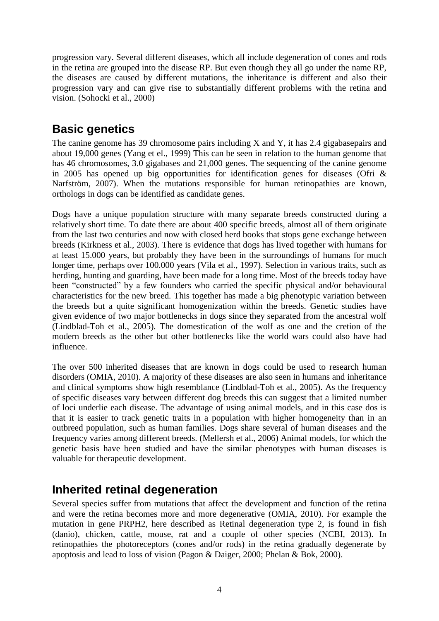progression vary. Several different diseases, which all include degeneration of cones and rods in the retina are grouped into the disease RP. But even though they all go under the name RP, the diseases are caused by different mutations, the inheritance is different and also their progression vary and can give rise to substantially different problems with the retina and vision. (Sohocki et al., 2000)

# <span id="page-5-0"></span>**Basic genetics**

The canine genome has 39 chromosome pairs including X and Y, it has 2.4 gigabasepairs and about 19,000 genes (Yang et el., 1999) This can be seen in relation to the human genome that has 46 chromosomes, 3.0 gigabases and 21,000 genes. The sequencing of the canine genome in 2005 has opened up big opportunities for identification genes for diseases (Ofri & Narfström, 2007). When the mutations responsible for human retinopathies are known, orthologs in dogs can be identified as candidate genes.

Dogs have a unique population structure with many separate breeds constructed during a relatively short time. To date there are about 400 specific breeds, almost all of them originate from the last two centuries and now with closed herd books that stops gene exchange between breeds (Kirkness et al., 2003). There is evidence that dogs has lived together with humans for at least 15.000 years, but probably they have been in the surroundings of humans for much longer time, perhaps over 100.000 years (Vila et al., 1997). Selection in various traits, such as herding, hunting and guarding, have been made for a long time. Most of the breeds today have been "constructed" by a few founders who carried the specific physical and/or behavioural characteristics for the new breed. This together has made a big phenotypic variation between the breeds but a quite significant homogenization within the breeds. Genetic studies have given evidence of two major bottlenecks in dogs since they separated from the ancestral wolf (Lindblad-Toh et al., 2005). The domestication of the wolf as one and the cretion of the modern breeds as the other but other bottlenecks like the world wars could also have had influence.

The over 500 inherited diseases that are known in dogs could be used to research human disorders (OMIA, 2010). A majority of these diseases are also seen in humans and inheritance and clinical symptoms show high resemblance (Lindblad-Toh et al., 2005). As the frequency of specific diseases vary between different dog breeds this can suggest that a limited number of loci underlie each disease. The advantage of using animal models, and in this case dos is that it is easier to track genetic traits in a population with higher homogeneity than in an outbreed population, such as human families. Dogs share several of human diseases and the frequency varies among different breeds. (Mellersh et al., 2006) Animal models, for which the genetic basis have been studied and have the similar phenotypes with human diseases is valuable for therapeutic development.

# <span id="page-5-1"></span>**Inherited retinal degeneration**

Several species suffer from mutations that affect the development and function of the retina and were the retina becomes more and more degenerative (OMIA, 2010). For example the mutation in gene PRPH2, here described as Retinal degeneration type 2, is found in fish (danio), chicken, cattle, mouse, rat and a couple of other species (NCBI, 2013). In retinopathies the photoreceptors (cones and/or rods) in the retina gradually degenerate by apoptosis and lead to loss of vision (Pagon & Daiger, 2000; Phelan & Bok, 2000).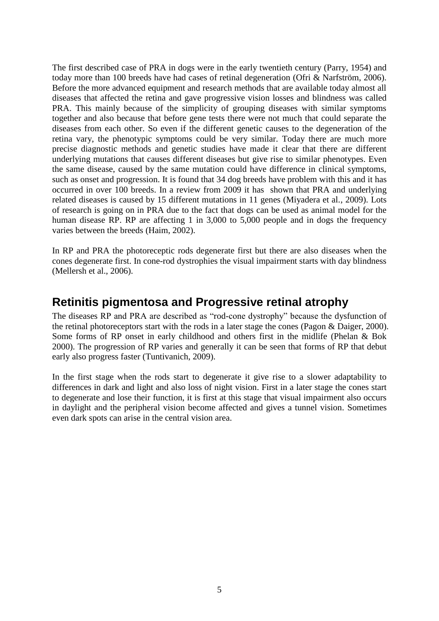The first described case of PRA in dogs were in the early twentieth century (Parry, 1954) and today more than 100 breeds have had cases of retinal degeneration (Ofri & Narfström, 2006). Before the more advanced equipment and research methods that are available today almost all diseases that affected the retina and gave progressive vision losses and blindness was called PRA. This mainly because of the simplicity of grouping diseases with similar symptoms together and also because that before gene tests there were not much that could separate the diseases from each other. So even if the different genetic causes to the degeneration of the retina vary, the phenotypic symptoms could be very similar. Today there are much more precise diagnostic methods and genetic studies have made it clear that there are different underlying mutations that causes different diseases but give rise to similar phenotypes. Even the same disease, caused by the same mutation could have difference in clinical symptoms, such as onset and progression. It is found that 34 dog breeds have problem with this and it has occurred in over 100 breeds. In a review from 2009 it has shown that PRA and underlying related diseases is caused by 15 different mutations in 11 genes (Miyadera et al., 2009). Lots of research is going on in PRA due to the fact that dogs can be used as animal model for the human disease RP. RP are affecting 1 in 3,000 to 5,000 people and in dogs the frequency varies between the breeds (Haim, 2002).

In RP and PRA the photoreceptic rods degenerate first but there are also diseases when the cones degenerate first. In cone-rod dystrophies the visual impairment starts with day blindness (Mellersh et al., 2006).

## <span id="page-6-0"></span>**Retinitis pigmentosa and Progressive retinal atrophy**

The diseases RP and PRA are described as "rod-cone dystrophy" because the dysfunction of the retinal photoreceptors start with the rods in a later stage the cones (Pagon & Daiger, 2000). Some forms of RP onset in early childhood and others first in the midlife (Phelan & Bok 2000). The progression of RP varies and generally it can be seen that forms of RP that debut early also progress faster (Tuntivanich, 2009).

In the first stage when the rods start to degenerate it give rise to a slower adaptability to differences in dark and light and also loss of night vision. First in a later stage the cones start to degenerate and lose their function, it is first at this stage that visual impairment also occurs in daylight and the peripheral vision become affected and gives a tunnel vision. Sometimes even dark spots can arise in the central vision area.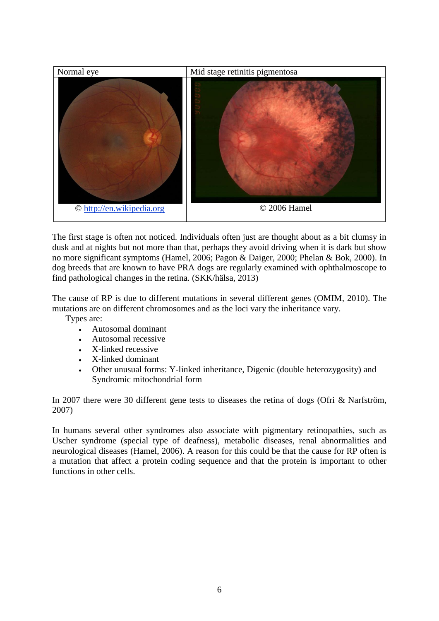

The first stage is often not noticed. Individuals often just are thought about as a bit clumsy in dusk and at nights but not more than that, perhaps they avoid driving when it is dark but show no more significant symptoms (Hamel, 2006; Pagon & Daiger, 2000; Phelan & Bok, 2000). In dog breeds that are known to have PRA dogs are regularly examined with ophthalmoscope to find pathological changes in the retina. (SKK/hälsa, 2013)

The cause of RP is due to different mutations in several different genes (OMIM, 2010). The mutations are on different chromosomes and as the loci vary the inheritance vary.

Types are:

- Autosomal dominant
- Autosomal recessive
- X-linked recessive
- X-linked dominant
- Other unusual forms: Y-linked inheritance, Digenic (double heterozygosity) and Syndromic mitochondrial form

In 2007 there were 30 different gene tests to diseases the retina of dogs (Ofri & Narfström, 2007)

In humans several other syndromes also associate with pigmentary retinopathies, such as Uscher syndrome (special type of deafness), metabolic diseases, renal abnormalities and neurological diseases (Hamel, 2006). A reason for this could be that the cause for RP often is a mutation that affect a protein coding sequence and that the protein is important to other functions in other cells.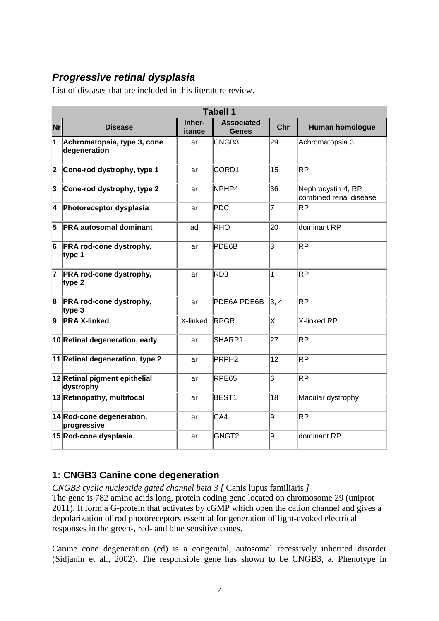# <span id="page-8-0"></span>*Progressive retinal dysplasia*

List of diseases that are included in this literature review.

| <b>Tabell 1</b> |                                             |                  |                                   |      |                                              |  |  |
|-----------------|---------------------------------------------|------------------|-----------------------------------|------|----------------------------------------------|--|--|
| Nr              | <b>Disease</b>                              | Inher-<br>itance | <b>Associated</b><br><b>Genes</b> | Chr  | <b>Human homologue</b>                       |  |  |
| 1               | Achromatopsia, type 3, cone<br>degeneration | ar               | CNGB <sub>3</sub>                 | 29   | Achromatopsia 3                              |  |  |
| 2               | Cone-rod dystrophy, type 1                  | ar               | CORD1                             | 15   | ΙRΡ                                          |  |  |
| 3               | Cone-rod dystrophy, type 2                  | ar               | NPHP4                             | 36   | Nephrocystin 4, RP<br>combined renal disease |  |  |
| 4               | Photoreceptor dysplasia                     | ar               | <b>PDC</b>                        | 7    | ΙRΡ                                          |  |  |
| 5               | <b>PRA autosomal dominant</b>               | ad               | <b>RHO</b>                        | 20   | dominant RP                                  |  |  |
| 6               | PRA rod-cone dystrophy,<br>type 1           | ar               | PDE6B                             | 3    | lRP                                          |  |  |
| 7               | PRA rod-cone dystrophy,<br>type $2$         | ar               | RD <sub>3</sub>                   | 1    | ΙRΡ                                          |  |  |
| 8               | PRA rod-cone dystrophy,<br>type $3$         | ar               | PDE6A PDE6B                       | 3, 4 | ΙRΡ                                          |  |  |
| 9               | <b>PRA X-linked</b>                         | X-linked         | RPGR                              | X    | X-linked RP                                  |  |  |
|                 | 10 Retinal degeneration, early              | ar               | SHARP1                            | 27   | ΙRΡ                                          |  |  |
|                 | 11 Retinal degeneration, type 2             | ar               | PRPH <sub>2</sub>                 | 12   | ΙRΡ                                          |  |  |
|                 | 12 Retinal pigment epithelial<br>dystrophy  | ar               | RPE65                             | 6    | ΙRΡ                                          |  |  |
|                 | 13 Retinopathy, multifocal                  | ar               | BEST1                             | 18   | Macular dystrophy                            |  |  |
|                 | 14 Rod-cone degeneration,<br>progressive    | ar               | CA4                               | g    | RΡ                                           |  |  |
|                 | 15 Rod-cone dysplasia                       | ar               | GNGT <sub>2</sub>                 | l9   | dominant RP                                  |  |  |

### <span id="page-8-1"></span>**1: CNGB3 Canine cone degeneration**

*CNGB3 cyclic nucleotide gated channel beta 3 [* Canis lupus familiaris *]*  The gene is 782 amino acids long, protein coding gene located on chromosome 29 (uniprot 2011). It form a G-protein that activates by cGMP which open the cation channel and gives a depolarization of rod photoreceptors essential for generation of light-evoked electrical responses in the green-, red- and blue sensitive cones.

Canine cone degeneration (cd) is a congenital, autosomal recessively inherited disorder (Sidjanin et al., 2002). The responsible gene has shown to be CNGB3, a. Phenotype in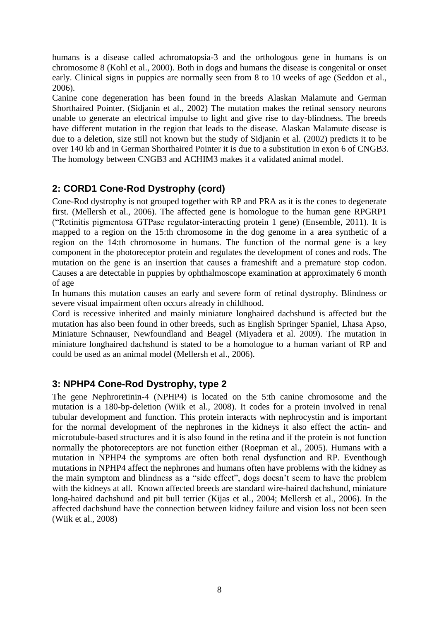humans is a disease called achromatopsia-3 and the orthologous gene in humans is on chromosome 8 (Kohl et al., 2000). Both in dogs and humans the disease is congenital or onset early. Clinical signs in puppies are normally seen from 8 to 10 weeks of age (Seddon et al., 2006).

Canine cone degeneration has been found in the breeds Alaskan Malamute and German Shorthaired Pointer. (Sidjanin et al., 2002) The mutation makes the retinal sensory neurons unable to generate an electrical impulse to light and give rise to day-blindness. The breeds have different mutation in the region that leads to the disease. Alaskan Malamute disease is due to a deletion, size still not known but the study of Sidjanin et al. (2002) predicts it to be over 140 kb and in German Shorthaired Pointer it is due to a substitution in exon 6 of CNGB3. The homology between CNGB3 and ACHIM3 makes it a validated animal model.

### <span id="page-9-0"></span>**2: CORD1 Cone-Rod Dystrophy (cord)**

Cone-Rod dystrophy is not grouped together with RP and PRA as it is the cones to degenerate first. (Mellersh et al., 2006). The affected gene is homologue to the human gene RPGRP1 ("Retinitis pigmentosa GTPase regulator-interacting protein 1 gene) (Ensemble, 2011). It is mapped to a region on the 15:th chromosome in the dog genome in a area synthetic of a region on the 14:th chromosome in humans. The function of the normal gene is a key component in the photoreceptor protein and regulates the development of cones and rods. The mutation on the gene is an insertion that causes a frameshift and a premature stop codon. Causes a are detectable in puppies by ophthalmoscope examination at approximately 6 month of age

In humans this mutation causes an early and severe form of retinal dystrophy. Blindness or severe visual impairment often occurs already in childhood.

Cord is recessive inherited and mainly miniature longhaired dachshund is affected but the mutation has also been found in other breeds, such as English Springer Spaniel, Lhasa Apso, Miniature Schnauser, Newfoundland and Beagel (Miyadera et al. 2009). The mutation in miniature longhaired dachshund is stated to be a homologue to a human variant of RP and could be used as an animal model (Mellersh et al., 2006).

#### <span id="page-9-1"></span>**3: NPHP4 Cone-Rod Dystrophy, type 2**

The gene Nephroretinin-4 (NPHP4) is located on the 5:th canine chromosome and the mutation is a 180-bp-deletion (Wiik et al., 2008). It codes for a protein involved in renal tubular development and function. This protein interacts with nephrocystin and is important for the normal development of the nephrones in the kidneys it also effect the actin- and microtubule-based structures and it is also found in the retina and if the protein is not function normally the photoreceptors are not function either (Roepman et al., 2005). Humans with a mutation in NPHP4 the symptoms are often both renal dysfunction and RP. Eventhough mutations in NPHP4 affect the nephrones and humans often have problems with the kidney as the main symptom and blindness as a "side effect", dogs doesn't seem to have the problem with the kidneys at all. Known affected breeds are standard wire-haired dachshund, miniature long-haired dachshund and pit bull terrier (Kijas et al., 2004; Mellersh et al., 2006). In the affected dachshund have the connection between kidney failure and vision loss not been seen (Wiik et al., 2008)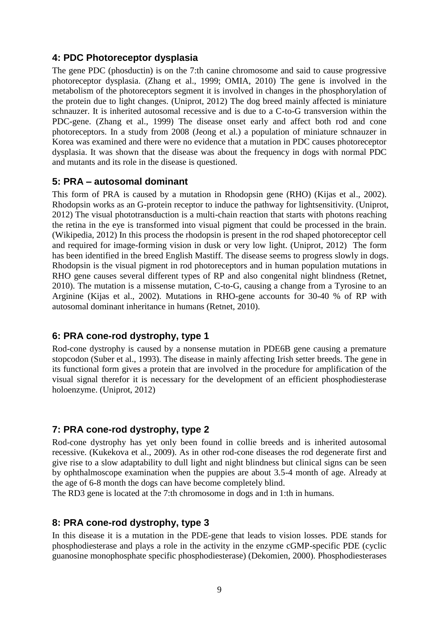#### <span id="page-10-0"></span>**4: PDC Photoreceptor dysplasia**

The gene PDC (phosductin) is on the 7:th canine chromosome and said to cause progressive photoreceptor dysplasia. (Zhang et al., 1999; OMIA, 2010) The gene is involved in the metabolism of the photoreceptors segment it is involved in changes in the phosphorylation of the protein due to light changes. (Uniprot, 2012) The dog breed mainly affected is miniature schnauzer. It is inherited autosomal recessive and is due to a C-to-G transversion within the PDC-gene. (Zhang et al., 1999) The disease onset early and affect both rod and cone photoreceptors. In a study from 2008 (Jeong et al.) a population of miniature schnauzer in Korea was examined and there were no evidence that a mutation in PDC causes photoreceptor dysplasia. It was shown that the disease was about the frequency in dogs with normal PDC and mutants and its role in the disease is questioned.

#### <span id="page-10-1"></span>**5: PRA – autosomal dominant**

This form of PRA is caused by a mutation in Rhodopsin gene (RHO) (Kijas et al., 2002). Rhodopsin works as an G-protein receptor to induce the pathway for lightsensitivity. (Uniprot, 2012) The visual phototransduction is a multi-chain reaction that starts with photons reaching the retina in the eye is transformed into visual pigment that could be processed in the brain. (Wikipedia, 2012) In this process the rhodopsin is present in the rod shaped photoreceptor cell and required for image-forming vision in dusk or very low light. (Uniprot, 2012) The form has been identified in the breed English Mastiff. The disease seems to progress slowly in dogs. Rhodopsin is the visual pigment in rod photoreceptors and in human population mutations in RHO gene causes several different types of RP and also congenital night blindness (Retnet, 2010). The mutation is a missense mutation, C-to-G, causing a change from a Tyrosine to an Arginine (Kijas et al., 2002). Mutations in RHO-gene accounts for 30-40 % of RP with autosomal dominant inheritance in humans (Retnet, 2010).

#### <span id="page-10-2"></span>**6: PRA cone-rod dystrophy, type 1**

Rod-cone dystrophy is caused by a nonsense mutation in PDE6B gene causing a premature stopcodon (Suber et al., 1993). The disease in mainly affecting Irish setter breeds. The gene in its functional form gives a protein that are involved in the procedure for amplification of the visual signal therefor it is necessary for the development of an efficient phosphodiesterase holoenzyme. (Uniprot, 2012)

### <span id="page-10-3"></span>**7: PRA cone-rod dystrophy, type 2**

Rod-cone dystrophy has yet only been found in collie breeds and is inherited autosomal recessive. (Kukekova et al., 2009). As in other rod-cone diseases the rod degenerate first and give rise to a slow adaptability to dull light and night blindness but clinical signs can be seen by ophthalmoscope examination when the puppies are about 3.5-4 month of age. Already at the age of 6-8 month the dogs can have become completely blind.

The RD3 gene is located at the 7:th chromosome in dogs and in 1:th in humans.

#### <span id="page-10-4"></span>**8: PRA cone-rod dystrophy, type 3**

In this disease it is a mutation in the PDE-gene that leads to vision losses. PDE stands for phosphodiesterase and plays a role in the activity in the enzyme cGMP-specific PDE (cyclic guanosine monophosphate specific phosphodiesterase) (Dekomien, 2000). Phosphodiesterases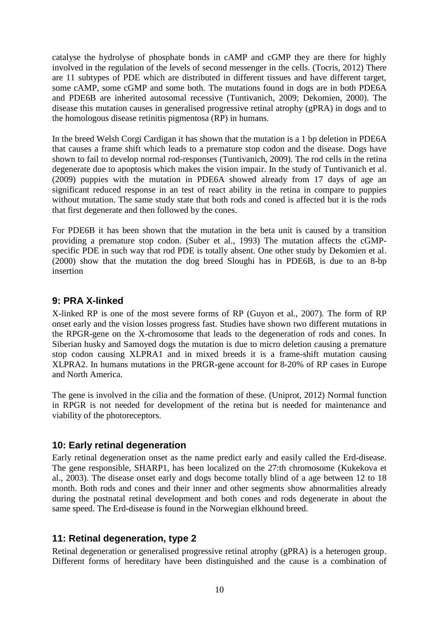catalyse the hydrolyse of phosphate bonds in cAMP and cGMP they are there for highly involved in the regulation of the levels of second messenger in the cells. (Tocris, 2012) There are 11 subtypes of PDE which are distributed in different tissues and have different target, some cAMP, some cGMP and some both. The mutations found in dogs are in both PDE6A and PDE6B are inherited autosomal recessive (Tuntivanich, 2009; Dekomien, 2000). The disease this mutation causes in generalised progressive retinal atrophy (gPRA) in dogs and to the homologous disease retinitis pigmentosa (RP) in humans.

In the breed Welsh Corgi Cardigan it has shown that the mutation is a 1 bp deletion in PDE6A that causes a frame shift which leads to a premature stop codon and the disease. Dogs have shown to fail to develop normal rod-responses (Tuntivanich, 2009). The rod cells in the retina degenerate due to apoptosis which makes the vision impair. In the study of Tuntivanich et al. (2009) puppies with the mutation in PDE6A showed already from 17 days of age an significant reduced response in an test of react ability in the retina in compare to puppies without mutation. The same study state that both rods and coned is affected but it is the rods that first degenerate and then followed by the cones.

For PDE6B it has been shown that the mutation in the beta unit is caused by a transition providing a premature stop codon. (Suber et al., 1993) The mutation affects the cGMPspecific PDE in such way that rod PDE is totally absent. One other study by Dekomien et al. (2000) show that the mutation the dog breed Sloughi has in PDE6B, is due to an 8-bp insertion

### <span id="page-11-0"></span>**9: PRA X-linked**

X-linked RP is one of the most severe forms of RP (Guyon et al., 2007). The form of RP onset early and the vision losses progress fast. Studies have shown two different mutations in the RPGR-gene on the X-chromosome that leads to the degeneration of rods and cones. In Siberian husky and Samoyed dogs the mutation is due to micro deletion causing a premature stop codon causing XLPRA1 and in mixed breeds it is a frame-shift mutation causing XLPRA2. In humans mutations in the PRGR-gene account for 8-20% of RP cases in Europe and North America.

The gene is involved in the cilia and the formation of these. (Uniprot, 2012) Normal function in RPGR is not needed for development of the retina but is needed for maintenance and viability of the photoreceptors.

#### <span id="page-11-1"></span>**10: Early retinal degeneration**

Early retinal degeneration onset as the name predict early and easily called the Erd-disease. The gene responsible, SHARP1, has been localized on the 27:th chromosome (Kukekova et al., 2003). The disease onset early and dogs become totally blind of a age between 12 to 18 month. Both rods and cones and their inner and other segments show abnormalities already during the postnatal retinal development and both cones and rods degenerate in about the same speed. The Erd-disease is found in the Norwegian elkhound breed.

### <span id="page-11-2"></span>**11: Retinal degeneration, type 2**

Retinal degeneration or generalised progressive retinal atrophy (gPRA) is a heterogen group. Different forms of hereditary have been distinguished and the cause is a combination of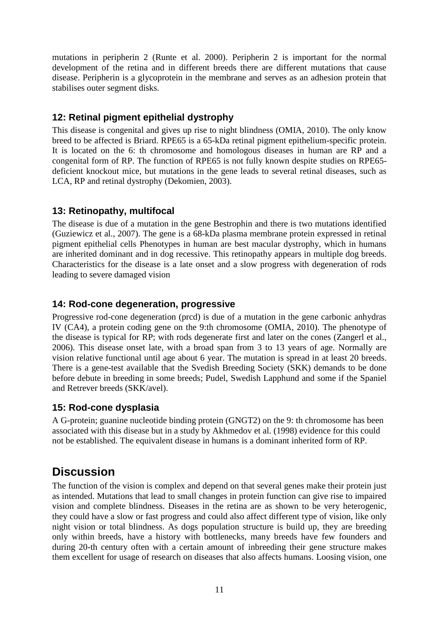mutations in peripherin 2 (Runte et al. 2000). Peripherin 2 is important for the normal development of the retina and in different breeds there are different mutations that cause disease. Peripherin is a glycoprotein in the membrane and serves as an adhesion protein that stabilises outer segment disks.

### <span id="page-12-0"></span>**12: Retinal pigment epithelial dystrophy**

This disease is congenital and gives up rise to night blindness (OMIA, 2010). The only know breed to be affected is Briard. RPE65 is a 65-kDa retinal pigment epithelium-specific protein. It is located on the 6: th chromosome and homologous diseases in human are RP and a congenital form of RP. The function of RPE65 is not fully known despite studies on RPE65 deficient knockout mice, but mutations in the gene leads to several retinal diseases, such as LCA, RP and retinal dystrophy (Dekomien, 2003).

### <span id="page-12-1"></span>**13: Retinopathy, multifocal**

The disease is due of a mutation in the gene Bestrophin and there is two mutations identified (Guziewicz et al., 2007). The gene is a 68-kDa plasma membrane protein expressed in retinal pigment epithelial cells Phenotypes in human are best macular dystrophy, which in humans are inherited dominant and in dog recessive. This retinopathy appears in multiple dog breeds. Characteristics for the disease is a late onset and a slow progress with degeneration of rods leading to severe damaged vision

### <span id="page-12-2"></span>**14: Rod-cone degeneration, progressive**

Progressive rod-cone degeneration (prcd) is due of a mutation in the gene carbonic anhydras IV (CA4), a protein coding gene on the 9:th chromosome (OMIA, 2010). The phenotype of the disease is typical for RP; with rods degenerate first and later on the cones (Zangerl et al., 2006). This disease onset late, with a broad span from 3 to 13 years of age. Normally are vision relative functional until age about 6 year. The mutation is spread in at least 20 breeds. There is a gene-test available that the Svedish Breeding Society (SKK) demands to be done before debute in breeding in some breeds; Pudel, Swedish Lapphund and some if the Spaniel and Retrever breeds (SKK/avel).

#### <span id="page-12-3"></span>**15: Rod-cone dysplasia**

A G-protein; guanine nucleotide binding protein (GNGT2) on the 9: th chromosome has been associated with this disease but in a study by Akhmedov et al. (1998) evidence for this could not be established. The equivalent disease in humans is a dominant inherited form of RP.

# <span id="page-12-4"></span>**Discussion**

The function of the vision is complex and depend on that several genes make their protein just as intended. Mutations that lead to small changes in protein function can give rise to impaired vision and complete blindness. Diseases in the retina are as shown to be very heterogenic, they could have a slow or fast progress and could also affect different type of vision, like only night vision or total blindness. As dogs population structure is build up, they are breeding only within breeds, have a history with bottlenecks, many breeds have few founders and during 20-th century often with a certain amount of inbreeding their gene structure makes them excellent for usage of research on diseases that also affects humans. Loosing vision, one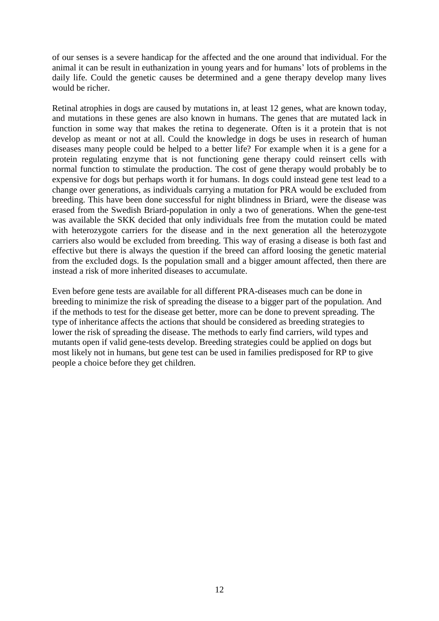of our senses is a severe handicap for the affected and the one around that individual. For the animal it can be result in euthanization in young years and for humans' lots of problems in the daily life. Could the genetic causes be determined and a gene therapy develop many lives would be richer.

Retinal atrophies in dogs are caused by mutations in, at least 12 genes, what are known today, and mutations in these genes are also known in humans. The genes that are mutated lack in function in some way that makes the retina to degenerate. Often is it a protein that is not develop as meant or not at all. Could the knowledge in dogs be uses in research of human diseases many people could be helped to a better life? For example when it is a gene for a protein regulating enzyme that is not functioning gene therapy could reinsert cells with normal function to stimulate the production. The cost of gene therapy would probably be to expensive for dogs but perhaps worth it for humans. In dogs could instead gene test lead to a change over generations, as individuals carrying a mutation for PRA would be excluded from breeding. This have been done successful for night blindness in Briard, were the disease was erased from the Swedish Briard-population in only a two of generations. When the gene-test was available the SKK decided that only individuals free from the mutation could be mated with heterozygote carriers for the disease and in the next generation all the heterozygote carriers also would be excluded from breeding. This way of erasing a disease is both fast and effective but there is always the question if the breed can afford loosing the genetic material from the excluded dogs. Is the population small and a bigger amount affected, then there are instead a risk of more inherited diseases to accumulate.

Even before gene tests are available for all different PRA-diseases much can be done in breeding to minimize the risk of spreading the disease to a bigger part of the population. And if the methods to test for the disease get better, more can be done to prevent spreading. The type of inheritance affects the actions that should be considered as breeding strategies to lower the risk of spreading the disease. The methods to early find carriers, wild types and mutants open if valid gene-tests develop. Breeding strategies could be applied on dogs but most likely not in humans, but gene test can be used in families predisposed for RP to give people a choice before they get children.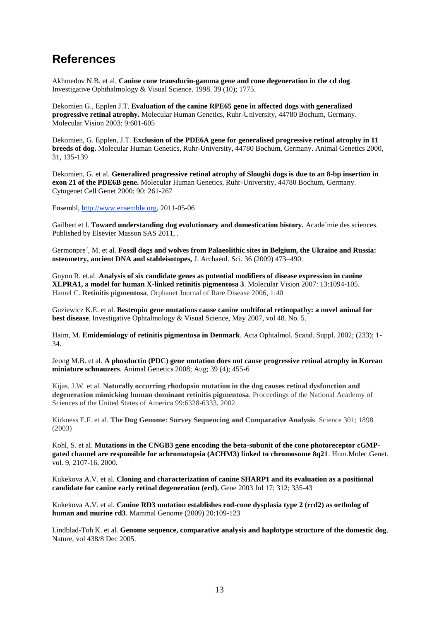# <span id="page-14-0"></span>**References**

Akhmedov N.B. et al. **Canine cone transducin-gamma gene and cone degeneration in the cd dog**. Investigative Ophthalmology & Visual Science. 1998. 39 (10); 1775.

Dekomien G., Epplen J.T. **Evaluation of the canine RPE65 gene in affected dogs with generalized progressive retinal atrophy.** Molecular Human Genetics, Ruhr-University, 44780 Bochum, Germany. Molecular Vision 2003; 9:601-605

Dekomien, G. Epplen, J.T. **Exclusion of the PDE6A gene for generalised progressive retinal atrophy in 11 breeds of dog.** Molecular Human Genetics, Ruhr-University, 44780 Bochum, Germany. Animal Genetics 2000, 31, 135-139

Dekomien, G. et al. **Generalized progressive retinal atrophy of Sloughi dogs is due to an 8-bp insertion in exon 21 of the PDE6B gene.** Molecular Human Genetics, Ruhr-University, 44780 Bochum, Germany. Cytogenet Cell Genet 2000; 90: 261-267

Ensembl, [http://www.ensemble.org,](http://www.ensemble.org/) 2011-05-06

Gailbert et l. **Toward understanding dog evolutionary and domestication history.** Acade´mie des sciences. Published by Elsevier Masson SAS 2011, .

Germonpre´, M. et al. **Fossil dogs and wolves from Palaeolithic sites in Belgium, the Ukraine and Russia: osteometry, ancient DNA and stableisotopes,** J. Archaeol. Sci. 36 (2009) 473–490.

Guyon R. et.al. **Analysis of six candidate genes as potential modifiers of disease expression in canine XLPRA1, a model for human X-linked retinitis pigmentosa 3**. Molecular Vision 2007: 13:1094-105. Hamel C. **Retinitis pigmentosa**, Orphanet Journal of Rare Disease 2006, 1:40

Guziewicz K.E. et al. **Bestropin gene mutations cause canine multifocal retinopathy: a novel animal for best disease**. Investigative Ophtalmology & Visual Science, May 2007, vol 48. No. 5.

Haim, M. **Emidemiology of retinitis pigmentosa in Denmark**. Acta Ophtalmol. Scand. Suppl. 2002; (233); 1- 34.

Jeong M.B. et al. **A phosductin (PDC) gene mutation does not cause progressive retinal atrophy in Korean miniature schnauzers**. Animal Genetics 2008; Aug; 39 (4); 455-6

Kijas, J.W. et al. **Naturally occurring rhodopsin mutation in the dog causes retinal dysfunction and degeneration mimicking human dominant retinitis pigmentosa**, Proceedings of the National Academy of Sciences of the United States of America 99:6328-6333, 2002.

Kirkness E.F. et al. **The Dog Genome: Survey Sequencing and Comparative Analysis**. Science 301; 1898 (2003)

Kohl, S. et al. **Mutations in the CNGB3 gene encoding the beta-subunit of the cone photoreceptor cGMPgated channel are responsible for achromatopsia (ACHM3) linked to chromosome 8q21**. Hum.Molec.Genet. vol. 9, 2107-16, 2000.

Kukekova A.V. et al. **Cloning and characterization of canine SHARP1 and its evaluation as a positional candidate for canine early retinal degeneration (erd).** Gene 2003 Jul 17; 312; 335-43

Kukekova A.V. et al. **Canine RD3 mutation establishes rod-cone dysplasia type 2 (rcd2) as ortholog of human and murine rd3**. Mammal Genome (2009) 20:109-123

Lindblad-Toh K. et al. **Genome sequence, comparative analysis and haplotype structure of the domestic dog**. Nature, vol 438/8 Dec 2005.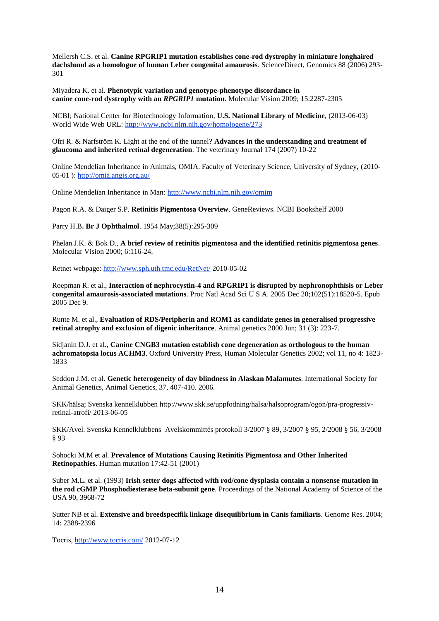Mellersh C.S. et al. **Canine RPGRIP1 mutation establishes cone-rod dystrophy in miniature longhaired dachshund as a homologue of human Leber congenital amaurosis**. ScienceDirect, Genomics 88 (2006) 293- 301

#### Miyadera K. et al. **Phenotypic variation and genotype-phenotype discordance in canine cone-rod dystrophy with an** *RPGRIP1* **mutation**. Molecular Vision 2009; 15:2287-2305

NCBI; [National Center for Biotechnology Information,](http://www.ncbi.nlm.nih.gov/) **[U.S. National Library of Medicine](http://www.nlm.nih.gov/)**, (2013-06-03) World Wide Web URL: <http://www.ncbi.nlm.nih.gov/homologene/273>

Ofri R. & Narfström K. Light at the end of the tunnel? **Advances in the understanding and treatment of glaucoma and inherited retinal degeneration**. The veterinary Journal 174 (2007) 10-22

Online Mendelian Inheritance in Animals, OMIA. Faculty of Veterinary Science, University of Sydney, (2010- 05-01 ):<http://omia.angis.org.au/>

Online Mendelian Inheritance in Man: [http://www.ncbi.nlm.nih.gov/omim](http://www.ncbi.nlm.nih.gov/omiam)

Pagon R.A. & Daiger S.P. **Retinitis Pigmentosa Overview**. GeneReviews. NCBI Bookshelf 2000

Parry H.B**. Br J Ophthalmol**. 1954 May;38(5):295-309

Phelan J.K. & Bok D., **A brief review of retinitis pigmentosa and the identified retinitis pigmentosa genes**. Molecular Vision 2000; 6:116-24.

Retnet webpage:<http://www.sph.uth.tmc.edu/RetNet/> 2010-05-02

Roepman R. et al., **Interaction of nephrocystin-4 and RPGRIP1 is disrupted by nephronophthisis or Leber congenital amaurosis-associated mutations**. Proc Natl Acad Sci U S A. 2005 Dec 20;102(51):18520-5. Epub 2005 Dec 9.

Runte M. et al., **Evaluation of RDS/Peripherin and ROM1 as candidate genes in generalised progressive retinal atrophy and exclusion of digenic inheritance**. Animal genetics 2000 Jun; 31 (3): 223-7.

Sidjanin D.J. et al., **Canine CNGB3 mutation establish cone degeneration as orthologous to the human achromatopsia locus ACHM3**. Oxford University Press, Human Molecular Genetics 2002; vol 11, no 4: 1823- 1833

Seddon J.M. et al. **Genetic heterogeneity of day blindness in Alaskan Malamutes**. International Society for Animal Genetics, Animal Genetics, 37, 407-410. 2006.

SKK/hälsa; Svenska kennelklubben http://www.skk.se/uppfodning/halsa/halsoprogram/ogon/pra-progressivretinal-atrofi/ 2013-06-05

SKK/Avel. Svenska Kennelklubbens Avelskommittés protokoll 3/2007 § 89, 3/2007 § 95, 2/2008 § 56, 3/2008 § 93

Sohocki M.M et al. **Prevalence of Mutations Causing Retinitis Pigmentosa and Other Inherited Retinopathies**. Human mutation 17:42-51 (2001)

Suber M.L. et al. (1993) **Irish setter dogs affected with rod/cone dysplasia contain a nonsense mutation in the rod cGMP Phosphodiesterase beta-subunit gene**. Proceedings of the National Academy of Science of the USA 90, 3968-72

Sutter NB et al. **Extensive and breedspecifik linkage disequilibrium in Canis familiaris**. Genome Res. 2004; 14: 2388-2396

Tocris,<http://www.tocris.com/> 2012-07-12